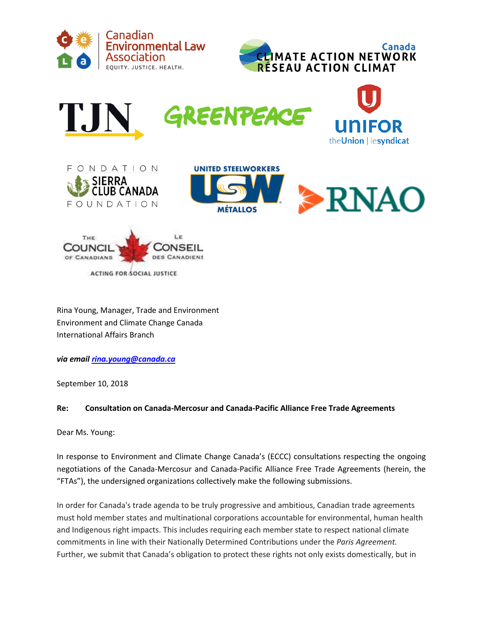











Rina Young, Manager, Trade and Environment Environment and Climate Change Canada International Affairs Branch

*via email [rina.young@canada.ca](mailto:rina.young@canada.ca)* 

September 10, 2018

### **Re: Consultation on Canada-Mercosur and Canada-Pacific Alliance Free Trade Agreements**

Dear Ms. Young:

In response to Environment and Climate Change Canada's (ECCC) consultations respecting the ongoing negotiations of the Canada-Mercosur and Canada-Pacific Alliance Free Trade Agreements (herein, the "FTAs"), the undersigned organizations collectively make the following submissions.

In order for Canada's trade agenda to be truly progressive and ambitious, Canadian trade agreements must hold member states and multinational corporations accountable for environmental, human health and Indigenous right impacts. This includes requiring each member state to respect national climate commitments in line with their Nationally Determined Contributions under the *Paris Agreement.*  Further, we submit that Canada's obligation to protect these rights not only exists domestically, but in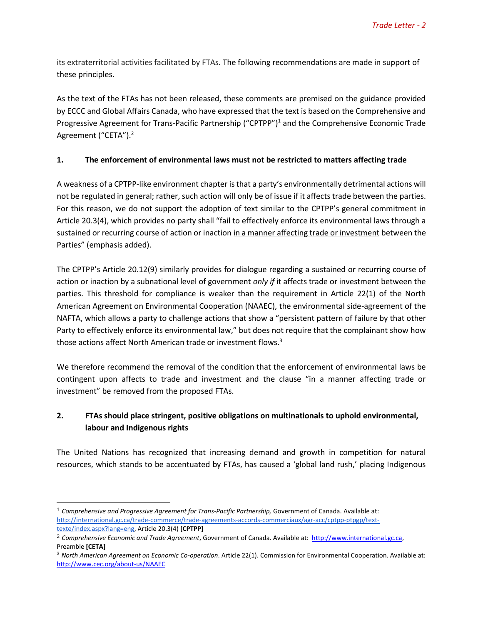its extraterritorial activities facilitated by FTAs. The following recommendations are made in support of these principles.

As the text of the FTAs has not been released, these comments are premised on the guidance provided by ECCC and Global Affairs Canada, who have expressed that the text is based on the Comprehensive and Progressive Agreement for Trans-Pacific Partnership ("CPTPP")<sup>1</sup> and the Comprehensive Economic Trade Agreement ("CETA").<sup>2</sup>

#### **1. The enforcement of environmental laws must not be restricted to matters affecting trade**

A weakness of a CPTPP-like environment chapter is that a party's environmentally detrimental actions will not be regulated in general; rather, such action will only be of issue if it affects trade between the parties. For this reason, we do not support the adoption of text similar to the CPTPP's general commitment in Article 20.3(4), which provides no party shall "fail to effectively enforce its environmental laws through a sustained or recurring course of action or inaction in a manner affecting trade or investment between the Parties" (emphasis added).

The CPTPP's Article 20.12(9) similarly provides for dialogue regarding a sustained or recurring course of action or inaction by a subnational level of government *only if* it affects trade or investment between the parties. This threshold for compliance is weaker than the requirement in Article 22(1) of the North American Agreement on Environmental Cooperation (NAAEC), the environmental side-agreement of the NAFTA, which allows a party to challenge actions that show a "persistent pattern of failure by that other Party to effectively enforce its environmental law," but does not require that the complainant show how those actions affect North American trade or investment flows.<sup>3</sup>

We therefore recommend the removal of the condition that the enforcement of environmental laws be contingent upon affects to trade and investment and the clause "in a manner affecting trade or investment" be removed from the proposed FTAs.

## **2. FTAs should place stringent, positive obligations on multinationals to uphold environmental, labour and Indigenous rights**

The United Nations has recognized that increasing demand and growth in competition for natural resources, which stands to be accentuated by FTAs, has caused a 'global land rush,' placing Indigenous

 $\overline{a}$ 

<sup>1</sup> *Comprehensive and Progressive Agreement for Trans-Pacific Partnership,* Government of Canada. Available a[t:](http://international.gc.ca/trade-commerce/trade-agreements-accords-commerciaux/agr-acc/cptpp-ptpgp/text-texte/index.aspx?lang=eng) [http://international.gc.ca/trade-commerce/trade-agreements-accords-commerciaux/agr-acc/cptpp-ptpgp/text](http://international.gc.ca/trade-commerce/trade-agreements-accords-commerciaux/agr-acc/cptpp-ptpgp/text-texte/index.aspx?lang=eng)[texte/index.aspx?lang=eng,](http://international.gc.ca/trade-commerce/trade-agreements-accords-commerciaux/agr-acc/cptpp-ptpgp/text-texte/index.aspx?lang=eng) Article 20.3(4) **[CPTPP]**

<sup>2</sup> *Comprehensive Economic and Trade Agreement*, Government of Canada. Available at: [http://www.international.gc.ca,](http://www.international.gc.ca/) Preamble **[CETA]**

<sup>3</sup> *North American Agreement on Economic Co-operation*. Article 22(1). Commission for Environmental Cooperation. Available at: <http://www.cec.org/about-us/NAAEC>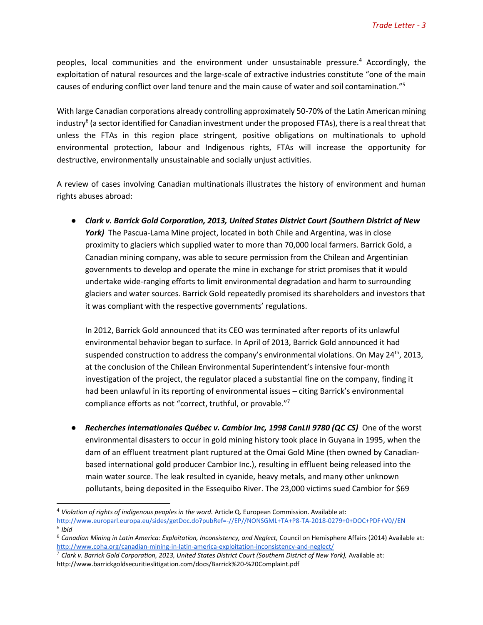peoples, local communities and the environment under unsustainable pressure.<sup>4</sup> Accordingly, the exploitation of natural resources and the large-scale of extractive industries constitute "one of the main causes of enduring conflict over land tenure and the main cause of water and soil contamination."<sup>5</sup>

With large Canadian corporations already controlling approximately 50-70% of the Latin American mining industry<sup>6</sup> (a sector identified for Canadian investment under the proposed FTAs), there is a real threat that unless the FTAs in this region place stringent, positive obligations on multinationals to uphold environmental protection, labour and Indigenous rights, FTAs will increase the opportunity for destructive, environmentally unsustainable and socially unjust activities.

A review of cases involving Canadian multinationals illustrates the history of environment and human rights abuses abroad:

● *Clark v. Barrick Gold Corporation, 2013, United States District Court (Southern District of New*  York) The Pascua-Lama Mine project, located in both Chile and Argentina, was in close proximity to glaciers which supplied water to more than 70,000 local farmers. Barrick Gold, a Canadian mining company, was able to secure permission from the Chilean and Argentinian governments to develop and operate the mine in exchange for strict promises that it would undertake wide-ranging efforts to limit environmental degradation and harm to surrounding glaciers and water sources. Barrick Gold repeatedly promised its shareholders and investors that it was compliant with the respective governments' regulations.

In 2012, Barrick Gold announced that its CEO was terminated after reports of its unlawful environmental behavior began to surface. In April of 2013, Barrick Gold announced it had suspended construction to address the company's environmental violations. On May 24<sup>th</sup>, 2013, at the conclusion of the Chilean Environmental Superintendent's intensive four-month investigation of the project, the regulator placed a substantial fine on the company, finding it had been unlawful in its reporting of environmental issues – citing Barrick's environmental compliance efforts as not "correct, truthful, or provable."<sup>7</sup>

● *Recherches internationales Québec v. Cambior Inc, 1998 CanLII 9780 (QC CS)* One of the worst environmental disasters to occur in gold mining history took place in Guyana in 1995, when the dam of an effluent treatment plant ruptured at the Omai Gold Mine (then owned by Canadianbased international gold producer Cambior Inc.), resulting in effluent being released into the main water source. The leak resulted in cyanide, heavy metals, and many other unknown pollutants, being deposited in the Essequibo River. The 23,000 victims sued Cambior for \$69

<sup>&</sup>lt;sup>4</sup> Violation of rights of indigenous peoples in the word. Article Q. European Commission. Available a[t:](http://www.europarl.europa.eu/sides/getDoc.do?pubRef=-//EP//NONSGML+TA+P8-TA-2018-0279+0+DOC+PDF+V0//EN)

<http://www.europarl.europa.eu/sides/getDoc.do?pubRef=-//EP//NONSGML+TA+P8-TA-2018-0279+0+DOC+PDF+V0//EN> 5 *Ibid*

<sup>&</sup>lt;sup>6</sup> Canadian Mining in Latin America[:](http://www.coha.org/canadian-mining-in-latin-america-exploitation-inconsistency-and-neglect/) Exploitation, Inconsistency, and Neglect, Council on Hemisphere Affairs (2014) Available at: <http://www.coha.org/canadian-mining-in-latin-america-exploitation-inconsistency-and-neglect/>

<sup>7</sup> *Clark v. Barrick Gold Corporation, 2013, United States District Court (Southern District of New York),* Available at: http://www.barrickgoldsecuritieslitigation.com/docs/Barrick%20-%20Complaint.pdf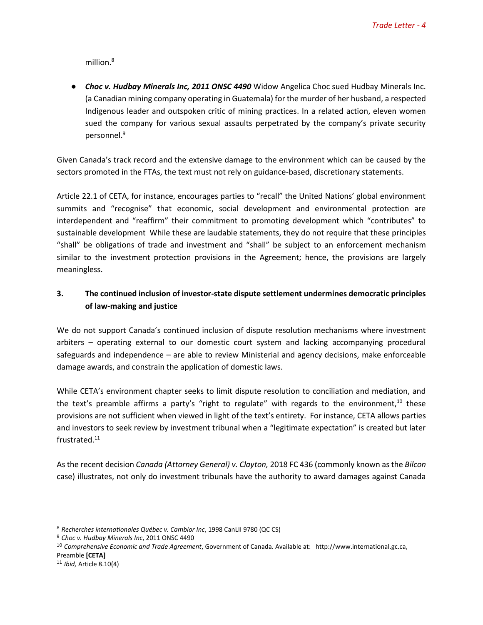million.<sup>8</sup>

● *Choc v. Hudbay Minerals Inc, 2011 ONSC 4490* Widow Angelica Choc sued Hudbay Minerals Inc. (a Canadian mining company operating in Guatemala) for the murder of her husband, a respected Indigenous leader and outspoken critic of mining practices. In a related action, eleven women sued the company for various sexual assaults perpetrated by the company's private security personnel.<sup>9</sup>

Given Canada's track record and the extensive damage to the environment which can be caused by the sectors promoted in the FTAs, the text must not rely on guidance-based, discretionary statements.

Article 22.1 of CETA, for instance, encourages parties to "recall" the United Nations' global environment summits and "recognise" that economic, social development and environmental protection are interdependent and "reaffirm" their commitment to promoting development which "contributes" to sustainable development While these are laudable statements, they do not require that these principles "shall" be obligations of trade and investment and "shall" be subject to an enforcement mechanism similar to the investment protection provisions in the Agreement; hence, the provisions are largely meaningless.

# **3. The continued inclusion of investor-state dispute settlement undermines democratic principles of law-making and justice**

We do not support Canada's continued inclusion of dispute resolution mechanisms where investment arbiters – operating external to our domestic court system and lacking accompanying procedural safeguards and independence – are able to review Ministerial and agency decisions, make enforceable damage awards, and constrain the application of domestic laws.

While CETA's environment chapter seeks to limit dispute resolution to conciliation and mediation, and the text's preamble affirms a party's "right to regulate" with regards to the environment, $10$  these provisions are not sufficient when viewed in light of the text's entirety. For instance, CETA allows parties and investors to seek review by investment tribunal when a "legitimate expectation" is created but later frustrated.<sup>11</sup>

As the recent decision *Canada (Attorney General) v. Clayton,* 2018 FC 436 (commonly known as the *Bilcon* case) illustrates, not only do investment tribunals have the authority to award damages against Canada

 $\overline{a}$ <sup>8</sup> *Recherches internationales Québec v. Cambior Inc*, 1998 CanLII 9780 (QC CS)

<sup>9</sup> *Choc v. Hudbay Minerals Inc*, 2011 ONSC 4490

<sup>10</sup> *Comprehensive Economic and Trade Agreement*, Government of Canada. Available at: http://www.international.gc.ca, Preamble **[CETA]**

<sup>11</sup> *Ibid,* Article 8.10(4)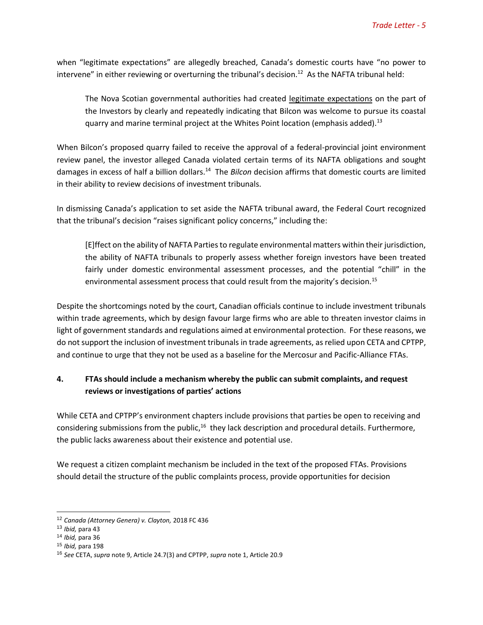when "legitimate expectations" are allegedly breached, Canada's domestic courts have "no power to intervene" in either reviewing or overturning the tribunal's decision.<sup>12</sup> As the NAFTA tribunal held:

The Nova Scotian governmental authorities had created legitimate expectations on the part of the Investors by clearly and repeatedly indicating that Bilcon was welcome to pursue its coastal quarry and marine terminal project at the Whites Point location (emphasis added).<sup>13</sup>

When Bilcon's proposed quarry failed to receive the approval of a federal-provincial joint environment review panel, the investor alleged Canada violated certain terms of its NAFTA obligations and sought damages in excess of half a billion dollars.<sup>14</sup> The *Bilcon* decision affirms that domestic courts are limited in their ability to review decisions of investment tribunals.

In dismissing Canada's application to set aside the NAFTA tribunal award, the Federal Court recognized that the tribunal's decision "raises significant policy concerns," including the:

[E]ffect on the ability of NAFTA Parties to regulate environmental matters within their jurisdiction, the ability of NAFTA tribunals to properly assess whether foreign investors have been treated fairly under domestic environmental assessment processes, and the potential "chill" in the environmental assessment process that could result from the majority's decision.<sup>15</sup>

Despite the shortcomings noted by the court, Canadian officials continue to include investment tribunals within trade agreements, which by design favour large firms who are able to threaten investor claims in light of government standards and regulations aimed at environmental protection. For these reasons, we do not support the inclusion of investment tribunals in trade agreements, as relied upon CETA and CPTPP, and continue to urge that they not be used as a baseline for the Mercosur and Pacific-Alliance FTAs.

### **4. FTAs should include a mechanism whereby the public can submit complaints, and request reviews or investigations of parties' actions**

While CETA and CPTPP's environment chapters include provisions that parties be open to receiving and considering submissions from the public,<sup>16</sup> they lack description and procedural details. Furthermore, the public lacks awareness about their existence and potential use.

We request a citizen complaint mechanism be included in the text of the proposed FTAs. Provisions should detail the structure of the public complaints process, provide opportunities for decision

<sup>12</sup> *Canada (Attorney Genera) v. Clayton,* 2018 FC 436

<sup>13</sup> *Ibid,* para 43

<sup>14</sup> *Ibid,* para 36

<sup>15</sup> *Ibid,* para 198

<sup>16</sup> *See* CETA, *supra* note 9, Article 24.7(3) and CPTPP, *supra* note 1, Article 20.9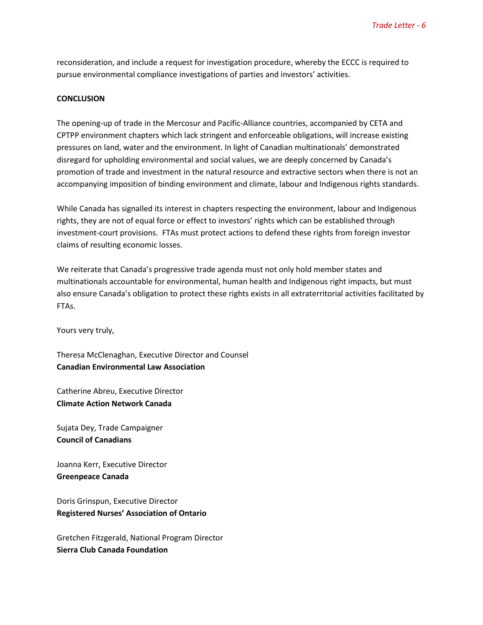reconsideration, and include a request for investigation procedure, whereby the ECCC is required to pursue environmental compliance investigations of parties and investors' activities.

#### **CONCLUSION**

The opening-up of trade in the Mercosur and Pacific-Alliance countries, accompanied by CETA and CPTPP environment chapters which lack stringent and enforceable obligations, will increase existing pressures on land, water and the environment. In light of Canadian multinationals' demonstrated disregard for upholding environmental and social values, we are deeply concerned by Canada's promotion of trade and investment in the natural resource and extractive sectors when there is not an accompanying imposition of binding environment and climate, labour and Indigenous rights standards.

While Canada has signalled its interest in chapters respecting the environment, labour and Indigenous rights, they are not of equal force or effect to investors' rights which can be established through investment-court provisions. FTAs must protect actions to defend these rights from foreign investor claims of resulting economic losses.

We reiterate that Canada's progressive trade agenda must not only hold member states and multinationals accountable for environmental, human health and Indigenous right impacts, but must also ensure Canada's obligation to protect these rights exists in all extraterritorial activities facilitated by FTAs.

Yours very truly,

Theresa McClenaghan, Executive Director and Counsel **Canadian Environmental Law Association** 

Catherine Abreu, Executive Director **Climate Action Network Canada**

Sujata Dey, Trade Campaigner **Council of Canadians**

Joanna Kerr, Executive Director **Greenpeace Canada**

Doris Grinspun, Executive Director **Registered Nurses' Association of Ontario**

Gretchen Fitzgerald, National Program Director **Sierra Club Canada Foundation**